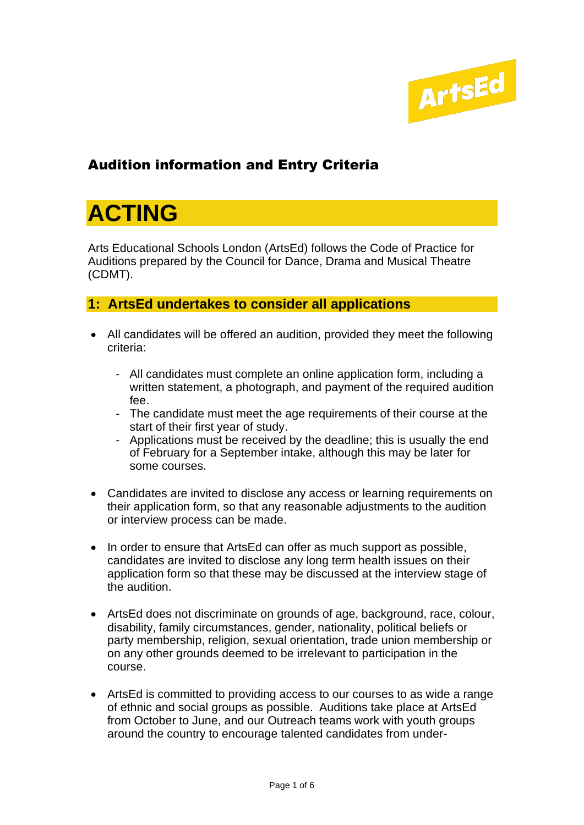

## Audition information and Entry Criteria

# **ACTING**

Arts Educational Schools London (ArtsEd) follows the Code of Practice for Auditions prepared by the Council for Dance, Drama and Musical Theatre (CDMT).

## **1: ArtsEd undertakes to consider all applications**

- All candidates will be offered an audition, provided they meet the following criteria:
	- All candidates must complete an online application form, including a written statement, a photograph, and payment of the required audition fee.
	- The candidate must meet the age requirements of their course at the start of their first year of study.
	- Applications must be received by the deadline; this is usually the end of February for a September intake, although this may be later for some courses.
- Candidates are invited to disclose any access or learning requirements on their application form, so that any reasonable adjustments to the audition or interview process can be made.
- In order to ensure that ArtsEd can offer as much support as possible, candidates are invited to disclose any long term health issues on their application form so that these may be discussed at the interview stage of the audition.
- ArtsEd does not discriminate on grounds of age, background, race, colour, disability, family circumstances, gender, nationality, political beliefs or party membership, religion, sexual orientation, trade union membership or on any other grounds deemed to be irrelevant to participation in the course.
- ArtsEd is committed to providing access to our courses to as wide a range of ethnic and social groups as possible. Auditions take place at ArtsEd from October to June, and our Outreach teams work with youth groups around the country to encourage talented candidates from under-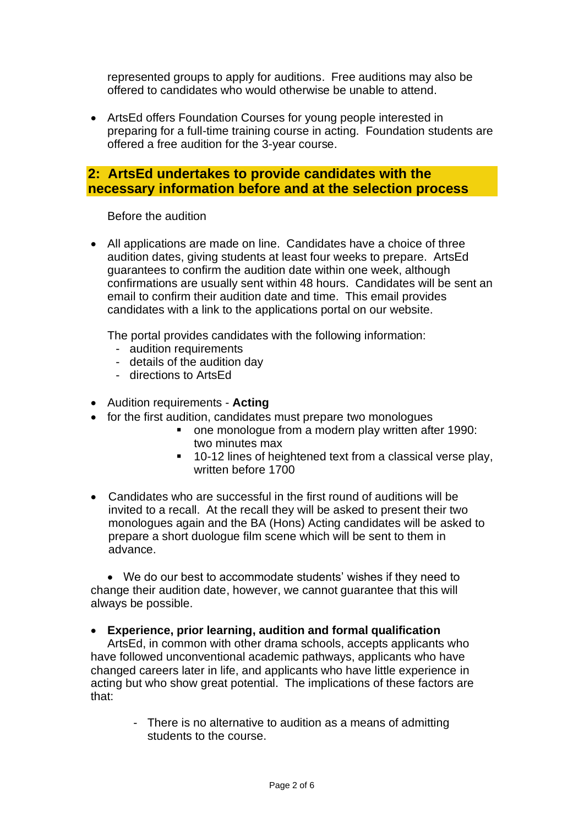represented groups to apply for auditions. Free auditions may also be offered to candidates who would otherwise be unable to attend.

• ArtsEd offers Foundation Courses for young people interested in preparing for a full-time training course in acting. Foundation students are offered a free audition for the 3-year course.

#### **2: ArtsEd undertakes to provide candidates with the necessary information before and at the selection process**

Before the audition

• All applications are made on line. Candidates have a choice of three audition dates, giving students at least four weeks to prepare. ArtsEd guarantees to confirm the audition date within one week, although confirmations are usually sent within 48 hours. Candidates will be sent an email to confirm their audition date and time. This email provides candidates with a link to the applications portal on our website.

The portal provides candidates with the following information:

- audition requirements
- details of the audition day
- directions to ArtsEd
- Audition requirements **Acting**
- for the first audition, candidates must prepare two monologues
	- one monologue from a modern play written after 1990: two minutes max
	- 10-12 lines of heightened text from a classical verse play, written before 1700
- Candidates who are successful in the first round of auditions will be invited to a recall. At the recall they will be asked to present their two monologues again and the BA (Hons) Acting candidates will be asked to prepare a short duologue film scene which will be sent to them in advance.

• We do our best to accommodate students' wishes if they need to change their audition date, however, we cannot guarantee that this will always be possible.

#### • **Experience, prior learning, audition and formal qualification**

ArtsEd, in common with other drama schools, accepts applicants who have followed unconventional academic pathways, applicants who have changed careers later in life, and applicants who have little experience in acting but who show great potential. The implications of these factors are that:

> - There is no alternative to audition as a means of admitting students to the course.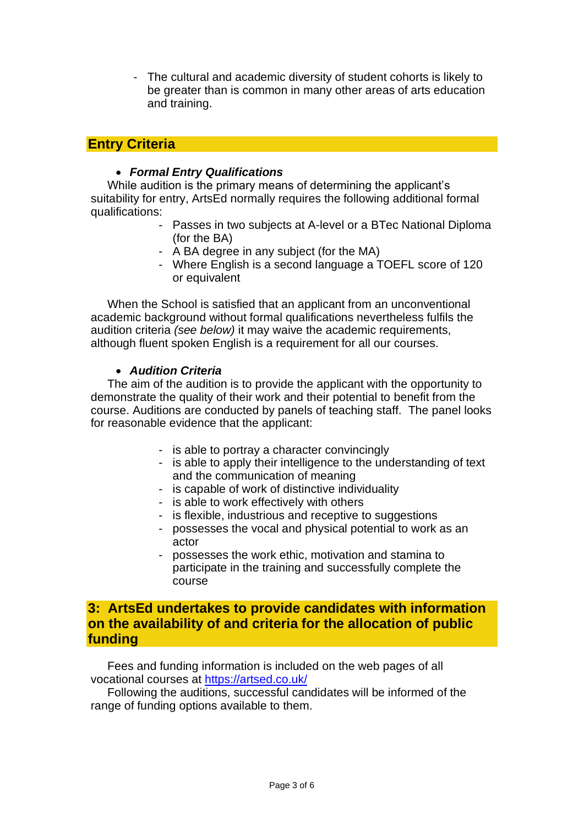- The cultural and academic diversity of student cohorts is likely to be greater than is common in many other areas of arts education and training.

## **Entry Criteria**

#### • *Formal Entry Qualifications*

While audition is the primary means of determining the applicant's suitability for entry, ArtsEd normally requires the following additional formal qualifications:

- Passes in two subjects at A-level or a BTec National Diploma (for the BA)
- A BA degree in any subject (for the MA)
- Where English is a second language a TOEFL score of 120 or equivalent

When the School is satisfied that an applicant from an unconventional academic background without formal qualifications nevertheless fulfils the audition criteria *(see below)* it may waive the academic requirements, although fluent spoken English is a requirement for all our courses.

#### • *Audition Criteria*

The aim of the audition is to provide the applicant with the opportunity to demonstrate the quality of their work and their potential to benefit from the course. Auditions are conducted by panels of teaching staff. The panel looks for reasonable evidence that the applicant:

- is able to portray a character convincingly
- is able to apply their intelligence to the understanding of text and the communication of meaning
- is capable of work of distinctive individuality
- is able to work effectively with others
- is flexible, industrious and receptive to suggestions
- possesses the vocal and physical potential to work as an actor
- possesses the work ethic, motivation and stamina to participate in the training and successfully complete the course

## **3: ArtsEd undertakes to provide candidates with information on the availability of and criteria for the allocation of public funding**

Fees and funding information is included on the web pages of all vocational courses at<https://artsed.co.uk/>

Following the auditions, successful candidates will be informed of the range of funding options available to them.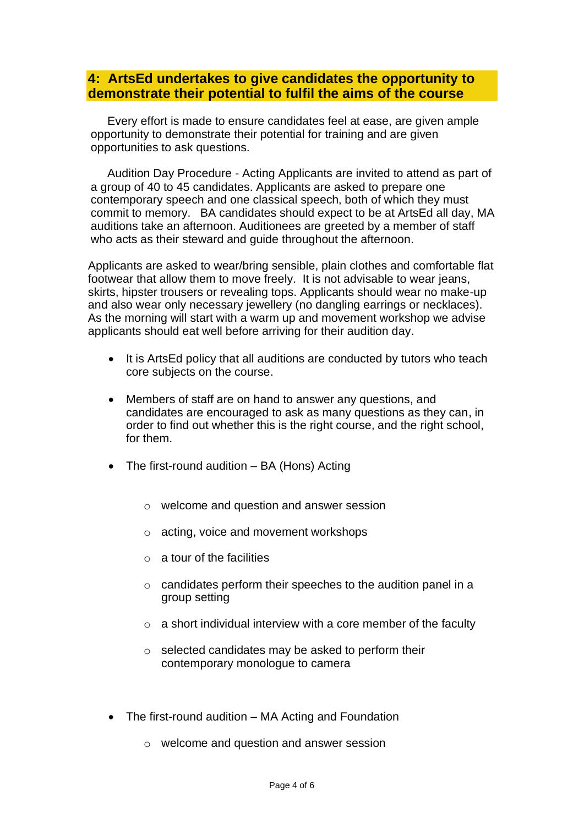## **4: ArtsEd undertakes to give candidates the opportunity to demonstrate their potential to fulfil the aims of the course**

Every effort is made to ensure candidates feel at ease, are given ample opportunity to demonstrate their potential for training and are given opportunities to ask questions.

Audition Day Procedure - Acting Applicants are invited to attend as part of a group of 40 to 45 candidates. Applicants are asked to prepare one contemporary speech and one classical speech, both of which they must commit to memory. BA candidates should expect to be at ArtsEd all day, MA auditions take an afternoon. Auditionees are greeted by a member of staff who acts as their steward and guide throughout the afternoon.

Applicants are asked to wear/bring sensible, plain clothes and comfortable flat footwear that allow them to move freely. It is not advisable to wear jeans, skirts, hipster trousers or revealing tops. Applicants should wear no make-up and also wear only necessary jewellery (no dangling earrings or necklaces). As the morning will start with a warm up and movement workshop we advise applicants should eat well before arriving for their audition day.

- It is ArtsEd policy that all auditions are conducted by tutors who teach core subjects on the course.
- Members of staff are on hand to answer any questions, and candidates are encouraged to ask as many questions as they can, in order to find out whether this is the right course, and the right school, for them.
- The first-round audition BA (Hons) Acting
	- o welcome and question and answer session
	- o acting, voice and movement workshops
	- $\circ$  a tour of the facilities
	- o candidates perform their speeches to the audition panel in a group setting
	- $\circ$  a short individual interview with a core member of the faculty
	- $\circ$  selected candidates may be asked to perform their contemporary monologue to camera
- The first-round audition MA Acting and Foundation
	- o welcome and question and answer session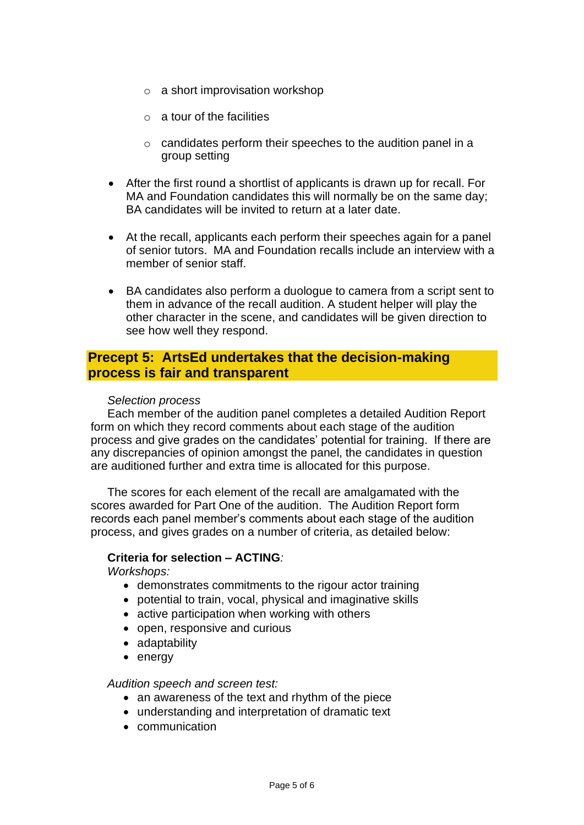- o a short improvisation workshop
- $\circ$  a tour of the facilities
- o candidates perform their speeches to the audition panel in a group setting
- After the first round a shortlist of applicants is drawn up for recall. For MA and Foundation candidates this will normally be on the same day; BA candidates will be invited to return at a later date.
- At the recall, applicants each perform their speeches again for a panel of senior tutors. MA and Foundation recalls include an interview with a member of senior staff.
- BA candidates also perform a duologue to camera from a script sent to them in advance of the recall audition. A student helper will play the other character in the scene, and candidates will be given direction to see how well they respond.

## **Precept 5: ArtsEd undertakes that the decision-making process is fair and transparent**

#### *Selection process*

Each member of the audition panel completes a detailed Audition Report form on which they record comments about each stage of the audition process and give grades on the candidates' potential for training. If there are any discrepancies of opinion amongst the panel, the candidates in question are auditioned further and extra time is allocated for this purpose.

The scores for each element of the recall are amalgamated with the scores awarded for Part One of the audition. The Audition Report form records each panel member's comments about each stage of the audition process, and gives grades on a number of criteria, as detailed below:

#### **Criteria for selection – ACTING***:*

*Workshops:*

- demonstrates commitments to the rigour actor training
- potential to train, vocal, physical and imaginative skills
- active participation when working with others
- open, responsive and curious
- adaptability
- energy

#### *Audition speech and screen test:*

- an awareness of the text and rhythm of the piece
- understanding and interpretation of dramatic text
- communication